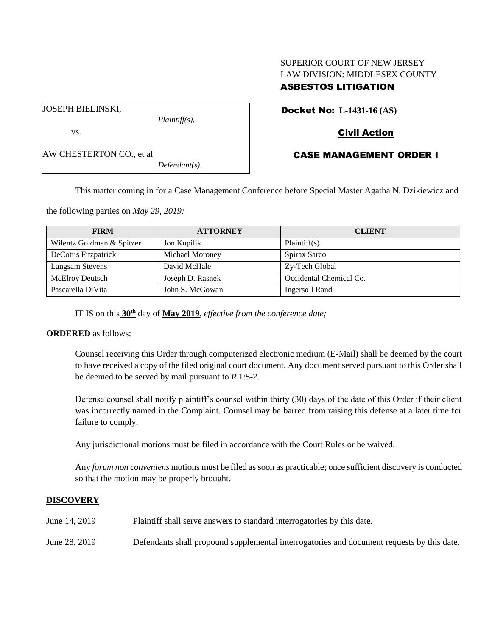## SUPERIOR COURT OF NEW JERSEY LAW DIVISION: MIDDLESEX COUNTY ASBESTOS LITIGATION

Docket No: **L-1431-16 (AS)**

JOSEPH BIELINSKI,

AW CHESTERTON CO., et al

vs.

*Plaintiff(s),*

# Civil Action

### CASE MANAGEMENT ORDER I

*Defendant(s).*

This matter coming in for a Case Management Conference before Special Master Agatha N. Dzikiewicz and

the following parties on *May 29, 2019:*

| <b>FIRM</b>               | <b>ATTORNEY</b>  | <b>CLIENT</b>           |
|---------------------------|------------------|-------------------------|
| Wilentz Goldman & Spitzer | Jon Kupilik      | Plaintiff(s)            |
| DeCotiis Fitzpatrick      | Michael Moroney  | Spirax Sarco            |
| Langsam Stevens           | David McHale     | Zy-Tech Global          |
| <b>McElroy Deutsch</b>    | Joseph D. Rasnek | Occidental Chemical Co. |
| Pascarella DiVita         | John S. McGowan  | Ingersoll Rand          |

IT IS on this **30th** day of **May 2019**, *effective from the conference date;*

**ORDERED** as follows:

Counsel receiving this Order through computerized electronic medium (E-Mail) shall be deemed by the court to have received a copy of the filed original court document. Any document served pursuant to this Order shall be deemed to be served by mail pursuant to *R*.1:5-2.

Defense counsel shall notify plaintiff's counsel within thirty (30) days of the date of this Order if their client was incorrectly named in the Complaint. Counsel may be barred from raising this defense at a later time for failure to comply.

Any jurisdictional motions must be filed in accordance with the Court Rules or be waived.

Any *forum non conveniens* motions must be filed as soon as practicable; once sufficient discovery is conducted so that the motion may be properly brought.

#### **DISCOVERY**

| June 14, 2019 | Plaintiff shall serve answers to standard interrogatories by this date.                    |
|---------------|--------------------------------------------------------------------------------------------|
| June 28, 2019 | Defendants shall propound supplemental interrogatories and document requests by this date. |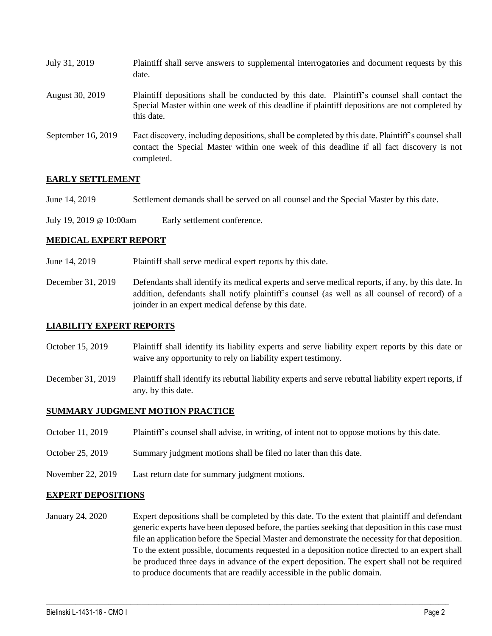| July 31, 2019      | Plaintiff shall serve answers to supplemental interrogatories and document requests by this<br>date.                                                                                                        |
|--------------------|-------------------------------------------------------------------------------------------------------------------------------------------------------------------------------------------------------------|
| August 30, 2019    | Plaintiff depositions shall be conducted by this date. Plaintiff's counsel shall contact the<br>Special Master within one week of this deadline if plaintiff depositions are not completed by<br>this date. |
| September 16, 2019 | Fact discovery, including depositions, shall be completed by this date. Plaintiff's counsel shall<br>contact the Special Master within one week of this deadline if all fact discovery is not<br>completed. |

### **EARLY SETTLEMENT**

June 14, 2019 Settlement demands shall be served on all counsel and the Special Master by this date.

July 19, 2019 @ 10:00am Early settlement conference.

#### **MEDICAL EXPERT REPORT**

June 14, 2019 Plaintiff shall serve medical expert reports by this date.

December 31, 2019 Defendants shall identify its medical experts and serve medical reports, if any, by this date. In addition, defendants shall notify plaintiff's counsel (as well as all counsel of record) of a joinder in an expert medical defense by this date.

#### **LIABILITY EXPERT REPORTS**

- October 15, 2019 Plaintiff shall identify its liability experts and serve liability expert reports by this date or waive any opportunity to rely on liability expert testimony.
- December 31, 2019 Plaintiff shall identify its rebuttal liability experts and serve rebuttal liability expert reports, if any, by this date.

#### **SUMMARY JUDGMENT MOTION PRACTICE**

- October 11, 2019 Plaintiff's counsel shall advise, in writing, of intent not to oppose motions by this date.
- October 25, 2019 Summary judgment motions shall be filed no later than this date.
- November 22, 2019 Last return date for summary judgment motions.

#### **EXPERT DEPOSITIONS**

January 24, 2020 Expert depositions shall be completed by this date. To the extent that plaintiff and defendant generic experts have been deposed before, the parties seeking that deposition in this case must file an application before the Special Master and demonstrate the necessity for that deposition. To the extent possible, documents requested in a deposition notice directed to an expert shall be produced three days in advance of the expert deposition. The expert shall not be required to produce documents that are readily accessible in the public domain.

 $\_$  , and the set of the set of the set of the set of the set of the set of the set of the set of the set of the set of the set of the set of the set of the set of the set of the set of the set of the set of the set of th